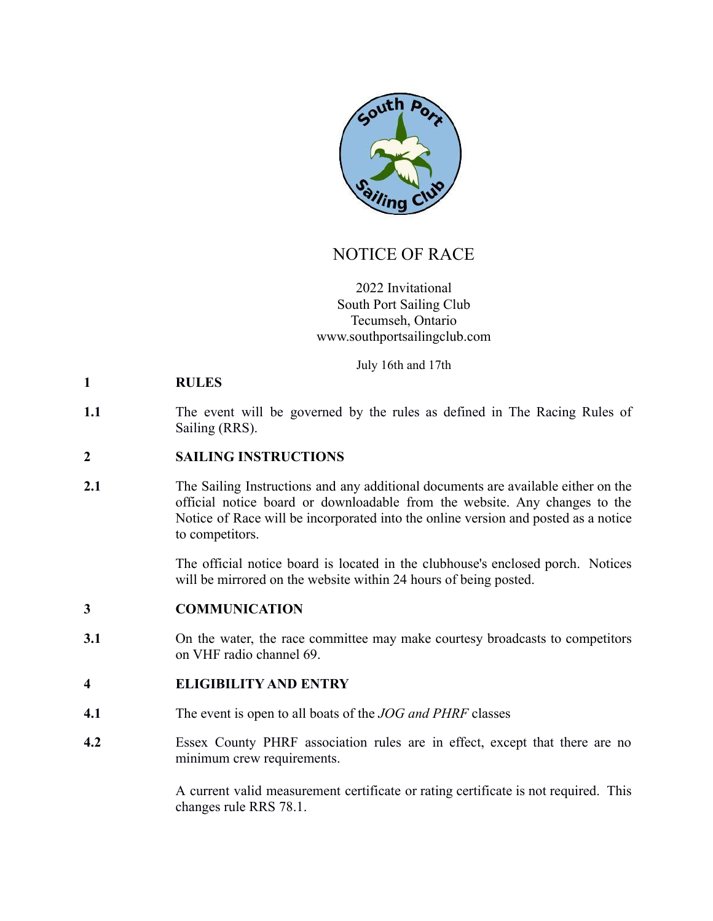

# NOTICE OF RACE

# 2022 Invitational South Port Sailing Club Tecumseh, Ontario [www.southportsailingclub.com](http://www.southportsailingclub.com/)

July 16th and 17th

# **1 RULES**

**1.1** The event will be governed by the rules as defined in The Racing Rules of Sailing (RRS).

# **2 SAILING INSTRUCTIONS**

**2.1** The Sailing Instructions and any additional documents are available either on the official notice board or downloadable from the website. Any changes to the Notice of Race will be incorporated into the online version and posted as a notice to competitors.

> The official notice board is located in the clubhouse's enclosed porch. Notices will be mirrored on the website within 24 hours of being posted.

# **3 COMMUNICATION**

**3.1** On the water, the race committee may make courtesy broadcasts to competitors on VHF radio channel 69.

# **4 ELIGIBILITY AND ENTRY**

- **4.1** The event is open to all boats of the *JOG and PHRF* classes
- **4.2** Essex County PHRF association rules are in effect, except that there are no minimum crew requirements.

A current valid measurement certificate or rating certificate is not required. This changes rule RRS 78.1.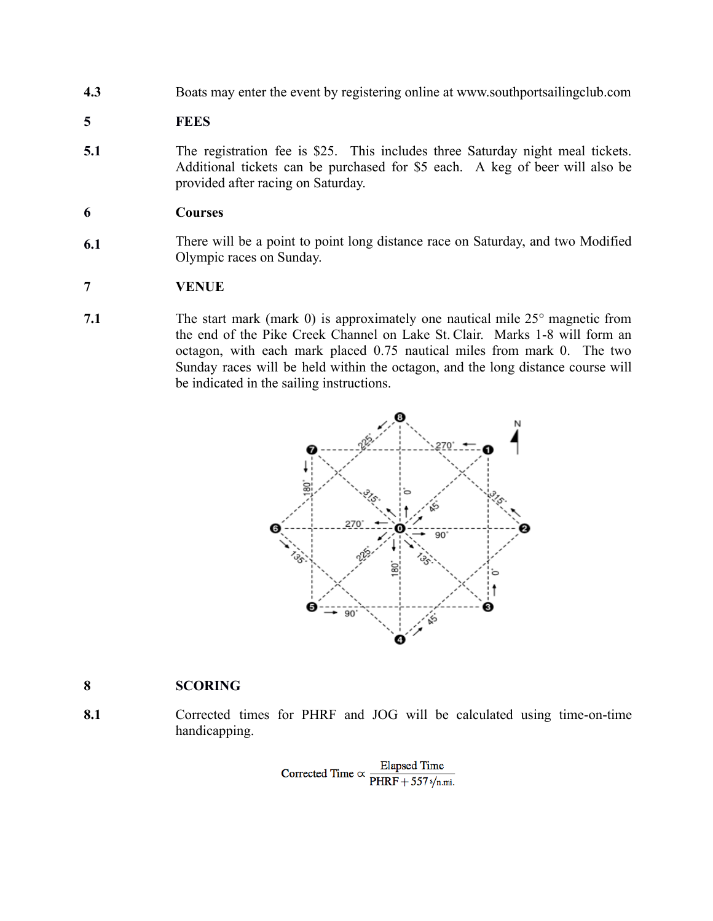**4.3** Boats may enter the event by registering online at www.southportsailingclub.com

### **5 FEES**

**5.1** The registration fee is \$25. This includes three Saturday night meal tickets. Additional tickets can be purchased for \$5 each. A keg of beer will also be provided after racing on Saturday.

#### **6 Courses**

**6.1** There will be a point to point long distance race on Saturday, and two Modified Olympic races on Sunday.

### **7 VENUE**

**7.1** The start mark (mark 0) is approximately one nautical mile 25° magnetic from the end of the Pike Creek Channel on Lake St. Clair. Marks 1-8 will form an octagon, with each mark placed 0.75 nautical miles from mark 0. The two Sunday races will be held within the octagon, and the long distance course will be indicated in the sailing instructions.



### **8 SCORING**

**8.1** Corrected times for PHRF and JOG will be calculated using time-on-time handicapping.

> **Elapsed Time** Corrected Time  $\propto \frac{\text{Elapsed Time}}{\text{PHRF} + 557 \text{ s/n} \cdot \text{mi}}$ .